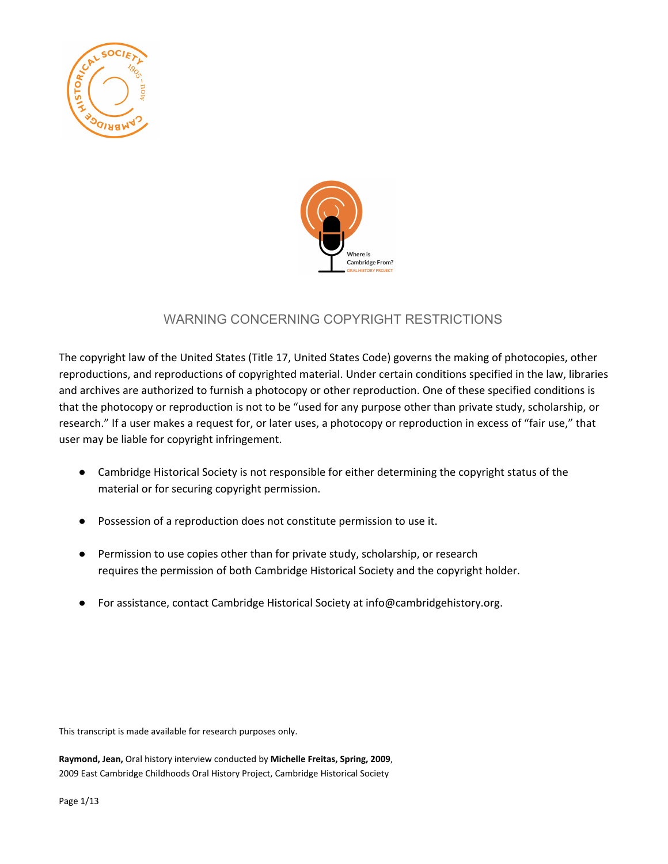



# WARNING CONCERNING COPYRIGHT RESTRICTIONS

The copyright law of the United States (Title 17, United States Code) governs the making of photocopies, other reproductions, and reproductions of copyrighted material. Under certain conditions specified in the law, libraries and archives are authorized to furnish a photocopy or other reproduction. One of these specified conditions is that the photocopy or reproduction is not to be "used for any purpose other than private study, scholarship, or research." If a user makes a request for, or later uses, a photocopy or reproduction in excess of "fair use," that user may be liable for copyright infringement.

- Cambridge Historical Society is not responsible for either determining the copyright status of the material or for securing copyright permission.
- Possession of a reproduction does not constitute permission to use it.
- Permission to use copies other than for private study, scholarship, or research requires the permission of both Cambridge Historical Society and the copyright holder.
- For assistance, contact Cambridge Historical Society at info@cambridgehistory.org.

This transcript is made available for research purposes only.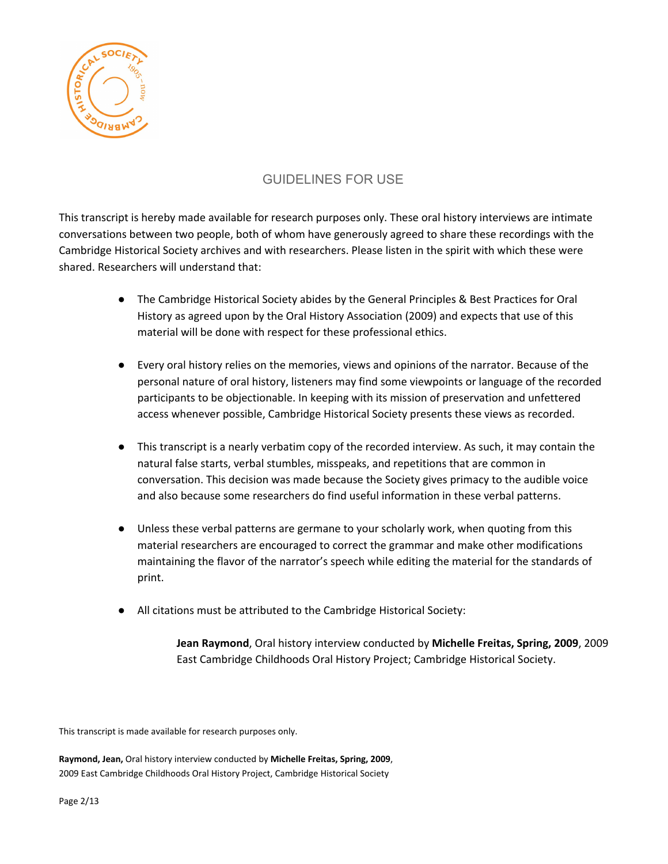

## GUIDELINES FOR USE

This transcript is hereby made available for research purposes only. These oral history interviews are intimate conversations between two people, both of whom have generously agreed to share these recordings with the Cambridge Historical Society archives and with researchers. Please listen in the spirit with which these were shared. Researchers will understand that:

- The Cambridge Historical Society abides by the General Principles & Best Practices for Oral History as agreed upon by the Oral History Association (2009) and expects that use of this material will be done with respect for these professional ethics.
- Every oral history relies on the memories, views and opinions of the narrator. Because of the personal nature of oral history, listeners may find some viewpoints or language of the recorded participants to be objectionable. In keeping with its mission of preservation and unfettered access whenever possible, Cambridge Historical Society presents these views as recorded.
- This transcript is a nearly verbatim copy of the recorded interview. As such, it may contain the natural false starts, verbal stumbles, misspeaks, and repetitions that are common in conversation. This decision was made because the Society gives primacy to the audible voice and also because some researchers do find useful information in these verbal patterns.
- Unless these verbal patterns are germane to your scholarly work, when quoting from this material researchers are encouraged to correct the grammar and make other modifications maintaining the flavor of the narrator's speech while editing the material for the standards of print.
- All citations must be attributed to the Cambridge Historical Society:

**Jean Raymond**, Oral history interview conducted by **Michelle Freitas, Spring, 2009**, 2009 East Cambridge Childhoods Oral History Project; Cambridge Historical Society.

This transcript is made available for research purposes only.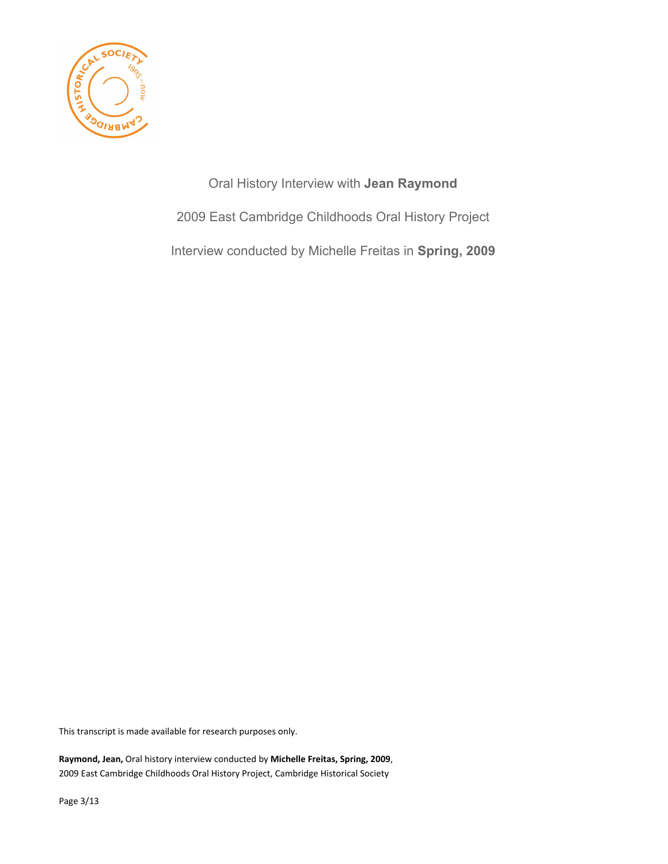

Oral History Interview with **Jean Raymond** 2009 East Cambridge Childhoods Oral History Project Interview conducted by Michelle Freitas in **Spring, 2009**

This transcript is made available for research purposes only.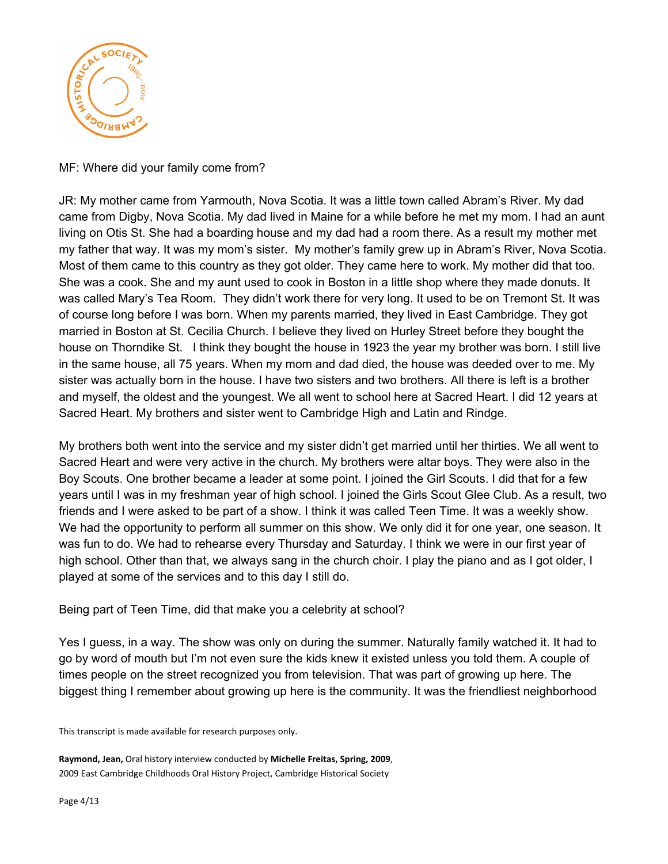

MF: Where did your family come from?

JR: My mother came from Yarmouth, Nova Scotia. It was a little town called Abram's River. My dad came from Digby, Nova Scotia. My dad lived in Maine for a while before he met my mom. I had an aunt living on Otis St. She had a boarding house and my dad had a room there. As a result my mother met my father that way. It was my mom's sister. My mother's family grew up in Abram's River, Nova Scotia. Most of them came to this country as they got older. They came here to work. My mother did that too. She was a cook. She and my aunt used to cook in Boston in a little shop where they made donuts. It was called Mary's Tea Room. They didn't work there for very long. It used to be on Tremont St. It was of course long before I was born. When my parents married, they lived in East Cambridge. They got married in Boston at St. Cecilia Church. I believe they lived on Hurley Street before they bought the house on Thorndike St. I think they bought the house in 1923 the year my brother was born. I still live in the same house, all 75 years. When my mom and dad died, the house was deeded over to me. My sister was actually born in the house. I have two sisters and two brothers. All there is left is a brother and myself, the oldest and the youngest. We all went to school here at Sacred Heart. I did 12 years at Sacred Heart. My brothers and sister went to Cambridge High and Latin and Rindge.

My brothers both went into the service and my sister didn't get married until her thirties. We all went to Sacred Heart and were very active in the church. My brothers were altar boys. They were also in the Boy Scouts. One brother became a leader at some point. I joined the Girl Scouts. I did that for a few years until I was in my freshman year of high school. I joined the Girls Scout Glee Club. As a result, two friends and I were asked to be part of a show. I think it was called Teen Time. It was a weekly show. We had the opportunity to perform all summer on this show. We only did it for one year, one season. It was fun to do. We had to rehearse every Thursday and Saturday. I think we were in our first year of high school. Other than that, we always sang in the church choir. I play the piano and as I got older, I played at some of the services and to this day I still do.

Being part of Teen Time, did that make you a celebrity at school?

Yes I guess, in a way. The show was only on during the summer. Naturally family watched it. It had to go by word of mouth but I'm not even sure the kids knew it existed unless you told them. A couple of times people on the street recognized you from television. That was part of growing up here. The biggest thing I remember about growing up here is the community. It was the friendliest neighborhood

This transcript is made available for research purposes only.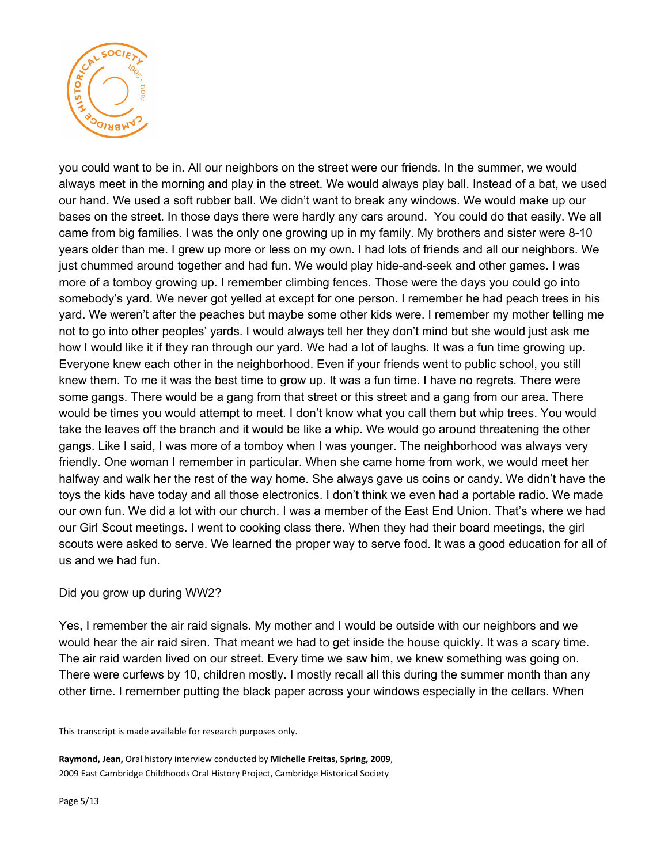

you could want to be in. All our neighbors on the street were our friends. In the summer, we would always meet in the morning and play in the street. We would always play ball. Instead of a bat, we used our hand. We used a soft rubber ball. We didn't want to break any windows. We would make up our bases on the street. In those days there were hardly any cars around. You could do that easily. We all came from big families. I was the only one growing up in my family. My brothers and sister were 8-10 years older than me. I grew up more or less on my own. I had lots of friends and all our neighbors. We just chummed around together and had fun. We would play hide-and-seek and other games. I was more of a tomboy growing up. I remember climbing fences. Those were the days you could go into somebody's yard. We never got yelled at except for one person. I remember he had peach trees in his yard. We weren't after the peaches but maybe some other kids were. I remember my mother telling me not to go into other peoples' yards. I would always tell her they don't mind but she would just ask me how I would like it if they ran through our yard. We had a lot of laughs. It was a fun time growing up. Everyone knew each other in the neighborhood. Even if your friends went to public school, you still knew them. To me it was the best time to grow up. It was a fun time. I have no regrets. There were some gangs. There would be a gang from that street or this street and a gang from our area. There would be times you would attempt to meet. I don't know what you call them but whip trees. You would take the leaves off the branch and it would be like a whip. We would go around threatening the other gangs. Like I said, I was more of a tomboy when I was younger. The neighborhood was always very friendly. One woman I remember in particular. When she came home from work, we would meet her halfway and walk her the rest of the way home. She always gave us coins or candy. We didn't have the toys the kids have today and all those electronics. I don't think we even had a portable radio. We made our own fun. We did a lot with our church. I was a member of the East End Union. That's where we had our Girl Scout meetings. I went to cooking class there. When they had their board meetings, the girl scouts were asked to serve. We learned the proper way to serve food. It was a good education for all of us and we had fun.

#### Did you grow up during WW2?

Yes, I remember the air raid signals. My mother and I would be outside with our neighbors and we would hear the air raid siren. That meant we had to get inside the house quickly. It was a scary time. The air raid warden lived on our street. Every time we saw him, we knew something was going on. There were curfews by 10, children mostly. I mostly recall all this during the summer month than any other time. I remember putting the black paper across your windows especially in the cellars. When

This transcript is made available for research purposes only.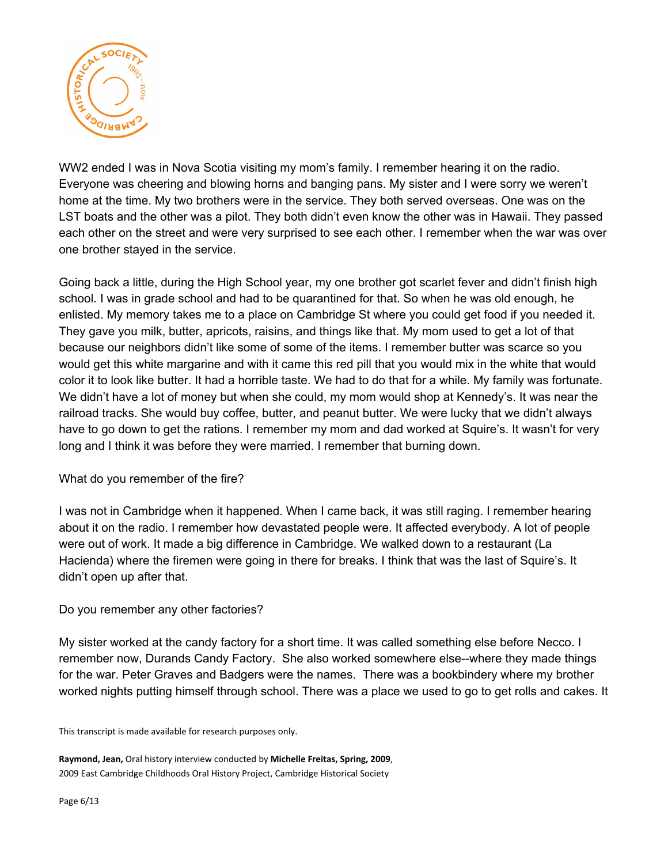

WW2 ended I was in Nova Scotia visiting my mom's family. I remember hearing it on the radio. Everyone was cheering and blowing horns and banging pans. My sister and I were sorry we weren't home at the time. My two brothers were in the service. They both served overseas. One was on the LST boats and the other was a pilot. They both didn't even know the other was in Hawaii. They passed each other on the street and were very surprised to see each other. I remember when the war was over one brother stayed in the service.

Going back a little, during the High School year, my one brother got scarlet fever and didn't finish high school. I was in grade school and had to be quarantined for that. So when he was old enough, he enlisted. My memory takes me to a place on Cambridge St where you could get food if you needed it. They gave you milk, butter, apricots, raisins, and things like that. My mom used to get a lot of that because our neighbors didn't like some of some of the items. I remember butter was scarce so you would get this white margarine and with it came this red pill that you would mix in the white that would color it to look like butter. It had a horrible taste. We had to do that for a while. My family was fortunate. We didn't have a lot of money but when she could, my mom would shop at Kennedy's. It was near the railroad tracks. She would buy coffee, butter, and peanut butter. We were lucky that we didn't always have to go down to get the rations. I remember my mom and dad worked at Squire's. It wasn't for very long and I think it was before they were married. I remember that burning down.

#### What do you remember of the fire?

I was not in Cambridge when it happened. When I came back, it was still raging. I remember hearing about it on the radio. I remember how devastated people were. It affected everybody. A lot of people were out of work. It made a big difference in Cambridge. We walked down to a restaurant (La Hacienda) where the firemen were going in there for breaks. I think that was the last of Squire's. It didn't open up after that.

#### Do you remember any other factories?

My sister worked at the candy factory for a short time. It was called something else before Necco. I remember now, Durands Candy Factory. She also worked somewhere else--where they made things for the war. Peter Graves and Badgers were the names. There was a bookbindery where my brother worked nights putting himself through school. There was a place we used to go to get rolls and cakes. It

This transcript is made available for research purposes only.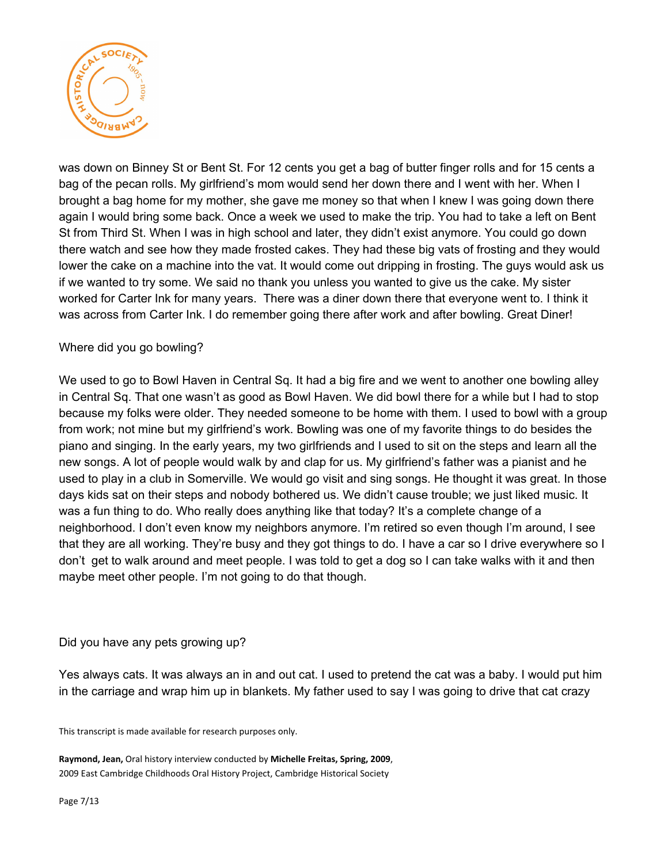

was down on Binney St or Bent St. For 12 cents you get a bag of butter finger rolls and for 15 cents a bag of the pecan rolls. My girlfriend's mom would send her down there and I went with her. When I brought a bag home for my mother, she gave me money so that when I knew I was going down there again I would bring some back. Once a week we used to make the trip. You had to take a left on Bent St from Third St. When I was in high school and later, they didn't exist anymore. You could go down there watch and see how they made frosted cakes. They had these big vats of frosting and they would lower the cake on a machine into the vat. It would come out dripping in frosting. The guys would ask us if we wanted to try some. We said no thank you unless you wanted to give us the cake. My sister worked for Carter Ink for many years. There was a diner down there that everyone went to. I think it was across from Carter Ink. I do remember going there after work and after bowling. Great Diner!

### Where did you go bowling?

We used to go to Bowl Haven in Central Sq. It had a big fire and we went to another one bowling alley in Central Sq. That one wasn't as good as Bowl Haven. We did bowl there for a while but I had to stop because my folks were older. They needed someone to be home with them. I used to bowl with a group from work; not mine but my girlfriend's work. Bowling was one of my favorite things to do besides the piano and singing. In the early years, my two girlfriends and I used to sit on the steps and learn all the new songs. A lot of people would walk by and clap for us. My girlfriend's father was a pianist and he used to play in a club in Somerville. We would go visit and sing songs. He thought it was great. In those days kids sat on their steps and nobody bothered us. We didn't cause trouble; we just liked music. It was a fun thing to do. Who really does anything like that today? It's a complete change of a neighborhood. I don't even know my neighbors anymore. I'm retired so even though I'm around, I see that they are all working. They're busy and they got things to do. I have a car so I drive everywhere so I don't get to walk around and meet people. I was told to get a dog so I can take walks with it and then maybe meet other people. I'm not going to do that though.

#### Did you have any pets growing up?

Yes always cats. It was always an in and out cat. I used to pretend the cat was a baby. I would put him in the carriage and wrap him up in blankets. My father used to say I was going to drive that cat crazy

This transcript is made available for research purposes only.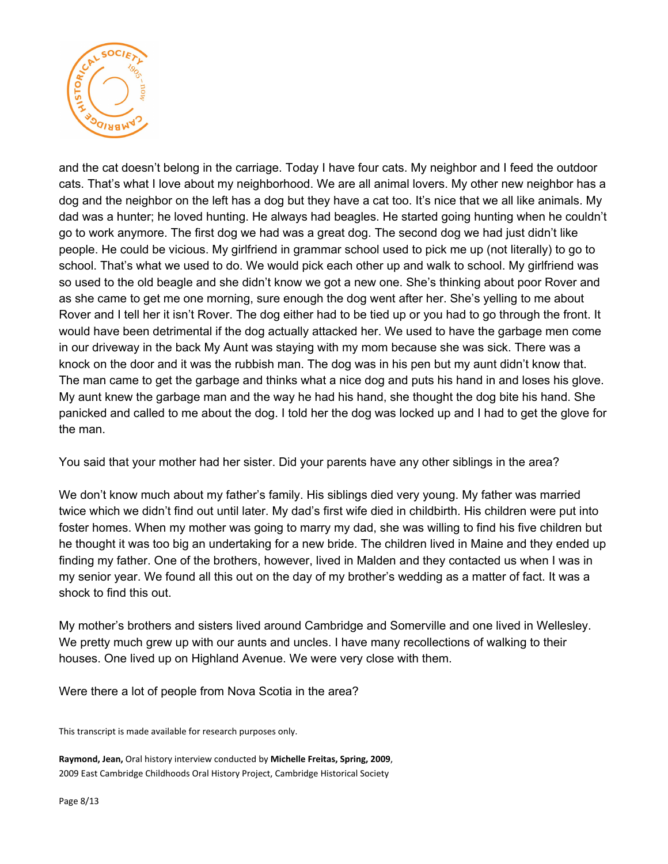

and the cat doesn't belong in the carriage. Today I have four cats. My neighbor and I feed the outdoor cats. That's what I love about my neighborhood. We are all animal lovers. My other new neighbor has a dog and the neighbor on the left has a dog but they have a cat too. It's nice that we all like animals. My dad was a hunter; he loved hunting. He always had beagles. He started going hunting when he couldn't go to work anymore. The first dog we had was a great dog. The second dog we had just didn't like people. He could be vicious. My girlfriend in grammar school used to pick me up (not literally) to go to school. That's what we used to do. We would pick each other up and walk to school. My girlfriend was so used to the old beagle and she didn't know we got a new one. She's thinking about poor Rover and as she came to get me one morning, sure enough the dog went after her. She's yelling to me about Rover and I tell her it isn't Rover. The dog either had to be tied up or you had to go through the front. It would have been detrimental if the dog actually attacked her. We used to have the garbage men come in our driveway in the back My Aunt was staying with my mom because she was sick. There was a knock on the door and it was the rubbish man. The dog was in his pen but my aunt didn't know that. The man came to get the garbage and thinks what a nice dog and puts his hand in and loses his glove. My aunt knew the garbage man and the way he had his hand, she thought the dog bite his hand. She panicked and called to me about the dog. I told her the dog was locked up and I had to get the glove for the man.

You said that your mother had her sister. Did your parents have any other siblings in the area?

We don't know much about my father's family. His siblings died very young. My father was married twice which we didn't find out until later. My dad's first wife died in childbirth. His children were put into foster homes. When my mother was going to marry my dad, she was willing to find his five children but he thought it was too big an undertaking for a new bride. The children lived in Maine and they ended up finding my father. One of the brothers, however, lived in Malden and they contacted us when I was in my senior year. We found all this out on the day of my brother's wedding as a matter of fact. It was a shock to find this out.

My mother's brothers and sisters lived around Cambridge and Somerville and one lived in Wellesley. We pretty much grew up with our aunts and uncles. I have many recollections of walking to their houses. One lived up on Highland Avenue. We were very close with them.

Were there a lot of people from Nova Scotia in the area?

This transcript is made available for research purposes only.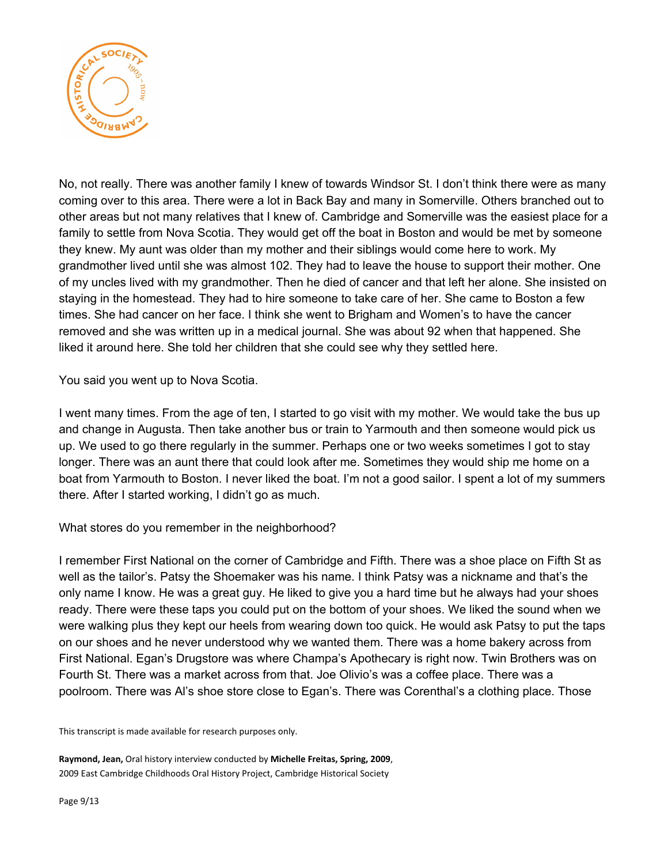

No, not really. There was another family I knew of towards Windsor St. I don't think there were as many coming over to this area. There were a lot in Back Bay and many in Somerville. Others branched out to other areas but not many relatives that I knew of. Cambridge and Somerville was the easiest place for a family to settle from Nova Scotia. They would get off the boat in Boston and would be met by someone they knew. My aunt was older than my mother and their siblings would come here to work. My grandmother lived until she was almost 102. They had to leave the house to support their mother. One of my uncles lived with my grandmother. Then he died of cancer and that left her alone. She insisted on staying in the homestead. They had to hire someone to take care of her. She came to Boston a few times. She had cancer on her face. I think she went to Brigham and Women's to have the cancer removed and she was written up in a medical journal. She was about 92 when that happened. She liked it around here. She told her children that she could see why they settled here.

You said you went up to Nova Scotia.

I went many times. From the age of ten, I started to go visit with my mother. We would take the bus up and change in Augusta. Then take another bus or train to Yarmouth and then someone would pick us up. We used to go there regularly in the summer. Perhaps one or two weeks sometimes I got to stay longer. There was an aunt there that could look after me. Sometimes they would ship me home on a boat from Yarmouth to Boston. I never liked the boat. I'm not a good sailor. I spent a lot of my summers there. After I started working, I didn't go as much.

What stores do you remember in the neighborhood?

I remember First National on the corner of Cambridge and Fifth. There was a shoe place on Fifth St as well as the tailor's. Patsy the Shoemaker was his name. I think Patsy was a nickname and that's the only name I know. He was a great guy. He liked to give you a hard time but he always had your shoes ready. There were these taps you could put on the bottom of your shoes. We liked the sound when we were walking plus they kept our heels from wearing down too quick. He would ask Patsy to put the taps on our shoes and he never understood why we wanted them. There was a home bakery across from First National. Egan's Drugstore was where Champa's Apothecary is right now. Twin Brothers was on Fourth St. There was a market across from that. Joe Olivio's was a coffee place. There was a poolroom. There was Al's shoe store close to Egan's. There was Corenthal's a clothing place. Those

This transcript is made available for research purposes only.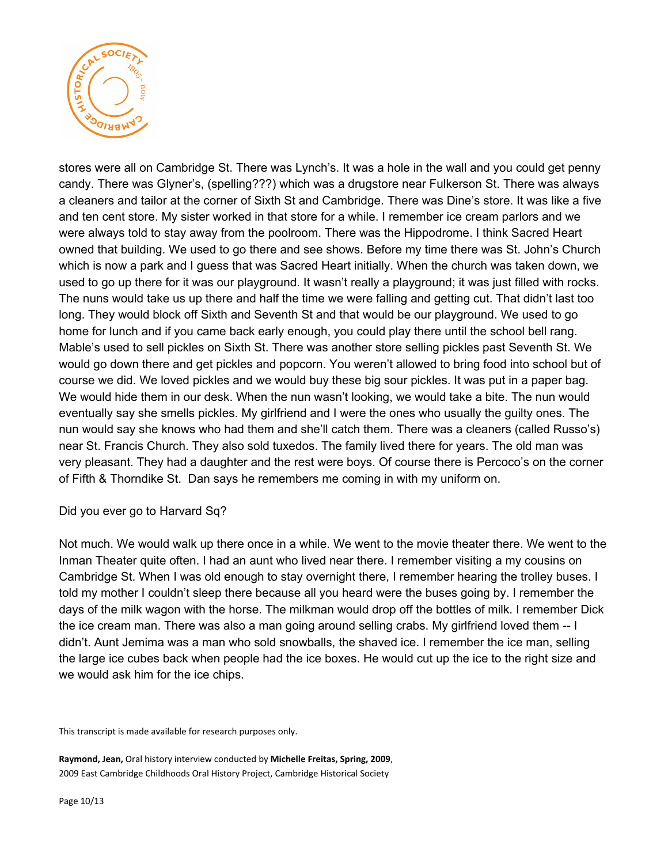

stores were all on Cambridge St. There was Lynch's. It was a hole in the wall and you could get penny candy. There was Glyner's, (spelling???) which was a drugstore near Fulkerson St. There was always a cleaners and tailor at the corner of Sixth St and Cambridge. There was Dine's store. It was like a five and ten cent store. My sister worked in that store for a while. I remember ice cream parlors and we were always told to stay away from the poolroom. There was the Hippodrome. I think Sacred Heart owned that building. We used to go there and see shows. Before my time there was St. John's Church which is now a park and I guess that was Sacred Heart initially. When the church was taken down, we used to go up there for it was our playground. It wasn't really a playground; it was just filled with rocks. The nuns would take us up there and half the time we were falling and getting cut. That didn't last too long. They would block off Sixth and Seventh St and that would be our playground. We used to go home for lunch and if you came back early enough, you could play there until the school bell rang. Mable's used to sell pickles on Sixth St. There was another store selling pickles past Seventh St. We would go down there and get pickles and popcorn. You weren't allowed to bring food into school but of course we did. We loved pickles and we would buy these big sour pickles. It was put in a paper bag. We would hide them in our desk. When the nun wasn't looking, we would take a bite. The nun would eventually say she smells pickles. My girlfriend and I were the ones who usually the guilty ones. The nun would say she knows who had them and she'll catch them. There was a cleaners (called Russo's) near St. Francis Church. They also sold tuxedos. The family lived there for years. The old man was very pleasant. They had a daughter and the rest were boys. Of course there is Percoco's on the corner of Fifth & Thorndike St. Dan says he remembers me coming in with my uniform on.

Did you ever go to Harvard Sq?

Not much. We would walk up there once in a while. We went to the movie theater there. We went to the Inman Theater quite often. I had an aunt who lived near there. I remember visiting a my cousins on Cambridge St. When I was old enough to stay overnight there, I remember hearing the trolley buses. I told my mother I couldn't sleep there because all you heard were the buses going by. I remember the days of the milk wagon with the horse. The milkman would drop off the bottles of milk. I remember Dick the ice cream man. There was also a man going around selling crabs. My girlfriend loved them -- I didn't. Aunt Jemima was a man who sold snowballs, the shaved ice. I remember the ice man, selling the large ice cubes back when people had the ice boxes. He would cut up the ice to the right size and we would ask him for the ice chips.

This transcript is made available for research purposes only.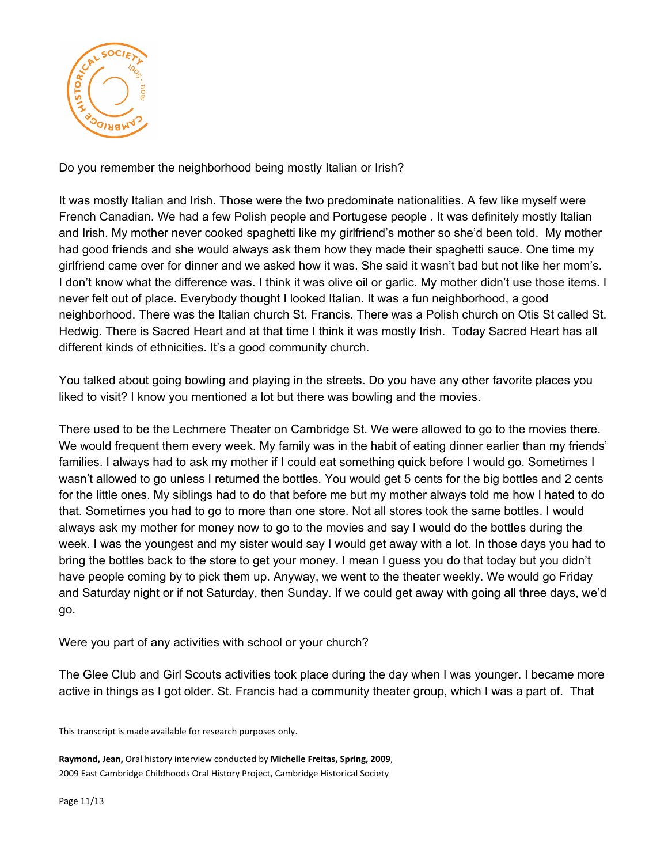

Do you remember the neighborhood being mostly Italian or Irish?

It was mostly Italian and Irish. Those were the two predominate nationalities. A few like myself were French Canadian. We had a few Polish people and Portugese people . It was definitely mostly Italian and Irish. My mother never cooked spaghetti like my girlfriend's mother so she'd been told. My mother had good friends and she would always ask them how they made their spaghetti sauce. One time my girlfriend came over for dinner and we asked how it was. She said it wasn't bad but not like her mom's. I don't know what the difference was. I think it was olive oil or garlic. My mother didn't use those items. I never felt out of place. Everybody thought I looked Italian. It was a fun neighborhood, a good neighborhood. There was the Italian church St. Francis. There was a Polish church on Otis St called St. Hedwig. There is Sacred Heart and at that time I think it was mostly Irish. Today Sacred Heart has all different kinds of ethnicities. It's a good community church.

You talked about going bowling and playing in the streets. Do you have any other favorite places you liked to visit? I know you mentioned a lot but there was bowling and the movies.

There used to be the Lechmere Theater on Cambridge St. We were allowed to go to the movies there. We would frequent them every week. My family was in the habit of eating dinner earlier than my friends' families. I always had to ask my mother if I could eat something quick before I would go. Sometimes I wasn't allowed to go unless I returned the bottles. You would get 5 cents for the big bottles and 2 cents for the little ones. My siblings had to do that before me but my mother always told me how I hated to do that. Sometimes you had to go to more than one store. Not all stores took the same bottles. I would always ask my mother for money now to go to the movies and say I would do the bottles during the week. I was the youngest and my sister would say I would get away with a lot. In those days you had to bring the bottles back to the store to get your money. I mean I guess you do that today but you didn't have people coming by to pick them up. Anyway, we went to the theater weekly. We would go Friday and Saturday night or if not Saturday, then Sunday. If we could get away with going all three days, we'd go.

Were you part of any activities with school or your church?

The Glee Club and Girl Scouts activities took place during the day when I was younger. I became more active in things as I got older. St. Francis had a community theater group, which I was a part of. That

This transcript is made available for research purposes only.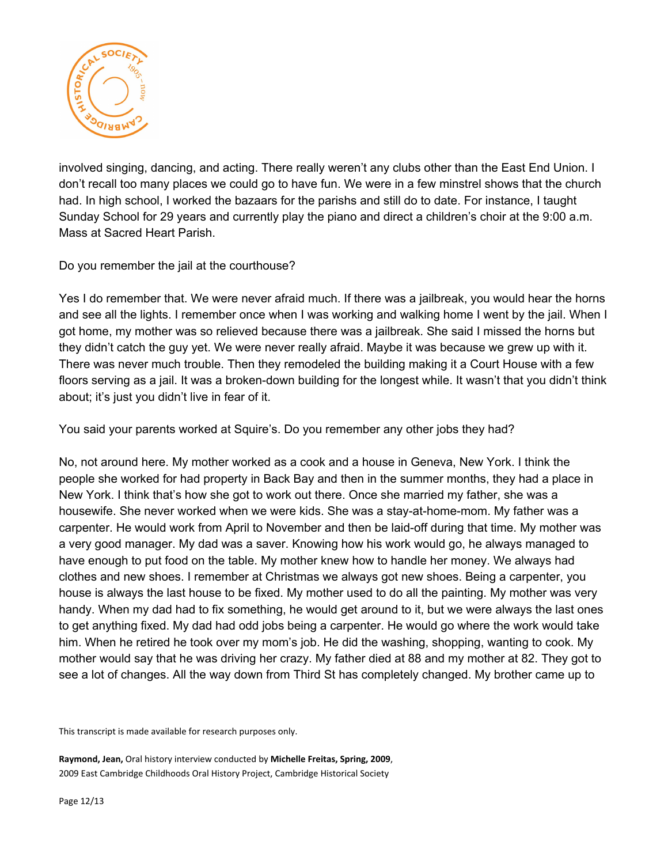

involved singing, dancing, and acting. There really weren't any clubs other than the East End Union. I don't recall too many places we could go to have fun. We were in a few minstrel shows that the church had. In high school, I worked the bazaars for the parishs and still do to date. For instance, I taught Sunday School for 29 years and currently play the piano and direct a children's choir at the 9:00 a.m. Mass at Sacred Heart Parish.

Do you remember the jail at the courthouse?

Yes I do remember that. We were never afraid much. If there was a jailbreak, you would hear the horns and see all the lights. I remember once when I was working and walking home I went by the jail. When I got home, my mother was so relieved because there was a jailbreak. She said I missed the horns but they didn't catch the guy yet. We were never really afraid. Maybe it was because we grew up with it. There was never much trouble. Then they remodeled the building making it a Court House with a few floors serving as a jail. It was a broken-down building for the longest while. It wasn't that you didn't think about; it's just you didn't live in fear of it.

You said your parents worked at Squire's. Do you remember any other jobs they had?

No, not around here. My mother worked as a cook and a house in Geneva, New York. I think the people she worked for had property in Back Bay and then in the summer months, they had a place in New York. I think that's how she got to work out there. Once she married my father, she was a housewife. She never worked when we were kids. She was a stay-at-home-mom. My father was a carpenter. He would work from April to November and then be laid-off during that time. My mother was a very good manager. My dad was a saver. Knowing how his work would go, he always managed to have enough to put food on the table. My mother knew how to handle her money. We always had clothes and new shoes. I remember at Christmas we always got new shoes. Being a carpenter, you house is always the last house to be fixed. My mother used to do all the painting. My mother was very handy. When my dad had to fix something, he would get around to it, but we were always the last ones to get anything fixed. My dad had odd jobs being a carpenter. He would go where the work would take him. When he retired he took over my mom's job. He did the washing, shopping, wanting to cook. My mother would say that he was driving her crazy. My father died at 88 and my mother at 82. They got to see a lot of changes. All the way down from Third St has completely changed. My brother came up to

This transcript is made available for research purposes only.